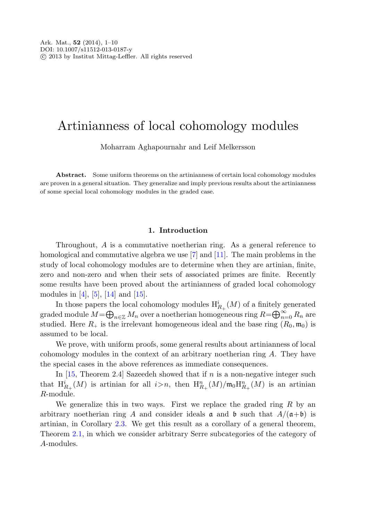## Artinianness of local cohomology modules

Moharram Aghapournahr and Leif Melkersson

**Abstract.** Some uniform theorems on the artinianness of certain local cohomology modules are proven in a general situation. They generalize and imply previous results about the artinianness of some special local cohomology modules in the graded case.

## **1. Introduction**

Throughout, A is a commutative noetherian ring. As a general reference to homological and commutative algebra we use [[7\]](#page-8-0) and [\[11](#page-8-1)]. The main problems in the study of local cohomology modules are to determine when they are artinian, finite, zero and non-zero and when their sets of associated primes are finite. Recently some results have been proved about the artinianness of graded local cohomology modules in [[4\]](#page-8-2), [[5\]](#page-8-3), [\[14](#page-8-4)] and [\[15](#page-8-5)].

In those papers the local cohomology modules  $H^i_{R_+}(M)$  of a finitely generated graded module  $M = \bigoplus_{n \in \mathbb{Z}} M_n$  over a noetherian homogeneous ring  $R = \bigoplus_{n=0}^{\infty} R_n$  are studied. Here  $R_+$  is the irrelevant homogeneous ideal and the base ring  $(R_0, \mathfrak{m}_0)$  is assumed to be local.

We prove, with uniform proofs, some general results about artinianness of local cohomology modules in the context of an arbitrary noetherian ring A. They have the special cases in the above references as immediate consequences.

In  $[15,$  $[15,$  Theorem 2.4 Sazeedeh showed that if n is a non-negative integer such that  $\mathrm{H}^{i}_{R_{+}}(M)$  is artinian for all  $i > n$ , then  $\mathrm{H}^{n}_{R_{+}}(M)/\mathfrak{m}_{0}\mathrm{H}^{n}_{R_{+}}(M)$  is an artinian  $R$ -module.

We generalize this in two ways. First we replace the graded ring  $R$  by an arbitrary noetherian ring A and consider ideals  $\mathfrak a$  and  $\mathfrak b$  such that  $A/(\mathfrak a+\mathfrak b)$  is artinian, in Corollary [2.3](#page-1-0). We get this result as a corollary of a general theorem, Theorem [2.1](#page-1-1), in which we consider arbitrary Serre subcategories of the category of A-modules.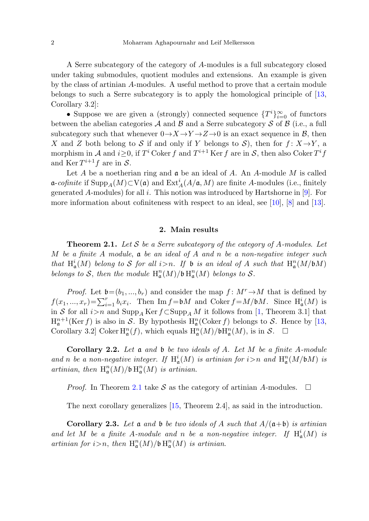A Serre subcategory of the category of A-modules is a full subcategory closed under taking submodules, quotient modules and extensions. An example is given by the class of artinian A-modules. A useful method to prove that a certain module belongs to such a Serre subcategory is to apply the homological principle of [[13,](#page-8-6) Corollary 3.2]:

• Suppose we are given a (strongly) connected sequence  $\{T^i\}_{i=0}^{\infty}$  of functors between the abelian categories  $A$  and  $B$  and a Serre subcategory  $S$  of  $B$  (i.e., a full subcategory such that whenever  $0 \rightarrow X \rightarrow Y \rightarrow Z \rightarrow 0$  is an exact sequence in  $\beta$ , then X and Z both belong to S if and only if Y belongs to S), then for  $f: X \rightarrow Y$ , a morphism in A and  $i \geq 0$ , if  $T^i$  Coker f and  $T^{i+1}$  Ker f are in S, then also Coker  $T^i f$ and Ker  $T^{i+1}f$  are in  $S$ .

<span id="page-1-1"></span>Let  $A$  be a noetherian ring and  $\mathfrak a$  be an ideal of  $A$ . An  $A$ -module  $M$  is called a-cofinite if  $\text{Supp}_A(M) \subset V(\mathfrak{a})$  and  $\text{Ext}^i_A(A/\mathfrak{a},M)$  are finite A-modules (i.e., finitely generated A-modules) for all i. This notion was introduced by Hartshorne in [\[9](#page-8-7)]. For more information about cofiniteness with respect to an ideal, see [\[10\]](#page-8-8), [[8\]](#page-8-9) and [[13\]](#page-8-6).

## **2. Main results**

**Theorem 2***.***1.** Let S be a Serre subcategory of the category of A-modules. Let M be a finite A module,  $\mathfrak a$  be an ideal of A and n be a non-negative integer such that  $H^i_\mathfrak{a}(M)$  belong to S for all  $i > n$ . If  $\mathfrak b$  is an ideal of A such that  $H^n_\mathfrak{a}(M/\mathfrak b M)$ belongs to S, then the module  $\mathrm{H}^n_\mathfrak{a}(M)/\mathfrak{b} \, \mathrm{H}^n_\mathfrak{a}(M)$  belongs to S.

*Proof.* Let  $\mathfrak{b}=(b_1, ..., b_r)$  and consider the map  $f : M^r \to M$  that is defined by  $f(x_1, ..., x_r) = \sum_{i=1}^r b_i x_i$ . Then Im  $f = \mathfrak{b}M$  and Coker  $f = M/\mathfrak{b}M$ . Since  $H^i_{\mathfrak{a}}(M)$  is in S for all  $i > n$  and  $\text{Supp}_A \text{Ker } f \subset \text{Supp}_A M$  it follows from [\[1](#page-8-10), Theorem 3.1] that  $H_{\mathfrak{a}}^{n+1}(\text{Ker } f)$  is also in S. By hypothesis  $H_{\mathfrak{a}}^n(\text{Coker } f)$  belongs to S. Hence by [[13,](#page-8-6) Corollary 3.2] Coker  $H^n_\mathfrak{a}(f)$ , which equals  $H^n_\mathfrak{a}(M)/\mathfrak{b}H^n_\mathfrak{a}(M)$ , is in  $\mathcal{S}$ .  $\Box$ 

<span id="page-1-0"></span>**Corollary 2***.***2.** Let a and b be two ideals of A. Let M be a finite A-module and n be a non-negative integer. If  $H^i_\mathfrak{a}(M)$  is artinian for  $i>n$  and  $H^n_\mathfrak{a}(M/\mathfrak{b} M)$  is artinian, then  $\operatorname{H}_{\frak{a}}^n(M)/\frak{b}\operatorname{H}_{\frak{a}}^n(M)$  is artinian.

*Proof.* In Theorem [2.1](#page-1-1) take S as the category of artinian A-modules.  $\Box$ 

The next corollary generalizes [[15,](#page-8-5) Theorem 2.4], as said in the introduction.

**Corollary 2.3.** Let **a** and **b** be two ideals of A such that  $A/(\mathfrak{a}+\mathfrak{b})$  is artinian and let M be a finite A-module and n be a non-negative integer. If  $H^i_{\mathfrak{a}}(M)$  is artinian for  $i > n$ , then  $\mathrm{H}^n_\mathfrak{a}(M) / \mathfrak{b} \, \mathrm{H}^n_\mathfrak{a}(M)$  is artinian.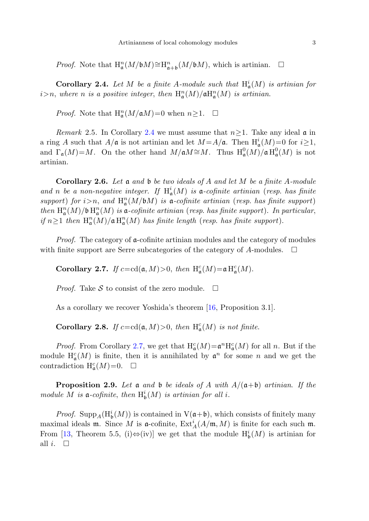<span id="page-2-0"></span>*Proof.* Note that  $H_{\mathfrak{a}}^n(M/\mathfrak{b}M)\cong H_{\mathfrak{a}+\mathfrak{b}}^n(M/\mathfrak{b}M)$ , which is artinian.  $\Box$ 

**Corollary 2.4.** Let M be a finite A-module such that  $H^i_{\mathfrak{a}}(M)$  is artinian for  $i>n$ , where n is a positive integer, then  $\mathrm{H}^n_\mathfrak{a}(M)/\mathfrak{a}\mathrm{H}^n_\mathfrak{a}(M)$  is artinian.

*Proof.* Note that  $H_{\mathfrak{a}}^n(M/\mathfrak{a}M)=0$  when  $n\geq 1$ .  $\Box$ 

*Remark* 2.5. In Corollary [2.4](#page-2-0) we must assume that  $n>1$ . Take any ideal  $\mathfrak{a}$  in a ring A such that  $A/\mathfrak{a}$  is not artinian and let  $M = A/\mathfrak{a}$ . Then  $H^i_{\mathfrak{a}}(M) = 0$  for  $i \geq 1$ , and  $\Gamma_{\mathfrak{a}}(M)=M$ . On the other hand  $M/\mathfrak{a}M \cong M$ . Thus  $\mathrm{H}^0_{\mathfrak{a}}(M)/\mathfrak{a} \mathrm{H}^0_{\mathfrak{a}}(M)$  is not artinian.

<span id="page-2-1"></span>**Corollary 2***.***6.** Let a and b be two ideals of A and let M be a finite A-module and n be a non-negative integer. If  $H^i_{\mathfrak{a}}(M)$  is  $\mathfrak{a}$ -cofinite artinian (resp. has finite support) for  $i>n$ , and  $\mathrm{H}^n_\mathfrak{a}(M/\mathfrak{b} M)$  is  $\mathfrak{a}\text{-}cofinite$  artinian (resp. has finite support) then  $\text{H}^n_{\mathfrak{a}}(M)/\mathfrak{b} \text{H}^n_{\mathfrak{a}}(M)$  is  $\mathfrak{a}$ -cofinite artinian (resp. has finite support). In particular, if  $n \geq 1$  then  $\mathrm{H}^n_{\mathfrak{a}}(M)/\mathfrak{a} \mathrm{H}^n_{\mathfrak{a}}(M)$  has finite length (resp. has finite support).

*Proof.* The category of  $\alpha$ -cofinite artinian modules and the category of modules with finite support are Serre subcategories of the category of A-modules.  $\Box$ 

**Corollary 2.7.** If  $c = cd(\mathfrak{a}, M) > 0$ , then  $H^c_{\mathfrak{a}}(M) = \mathfrak{a} H^c_{\mathfrak{a}}(M)$ .

*Proof.* Take  $S$  to consist of the zero module.  $\Box$ 

As a corollary we recover Yoshida's theorem [[16,](#page-8-11) Proposition 3.1].

**Corollary 2.8.** If  $c = cd(\mathfrak{a}, M) > 0$ , then  $H^c_{\mathfrak{a}}(M)$  is not finite.

*Proof.* From Corollary [2.7,](#page-2-1) we get that  $H_{\mathfrak{a}}^c(M) = \mathfrak{a}^n H_{\mathfrak{a}}^c(M)$  for all n. But if the module  $H_{\mathfrak{a}}^{c}(M)$  is finite, then it is annihilated by  $\mathfrak{a}^{n}$  for some n and we get the contradiction  $H^c_\mathfrak{a}(M)=0$ .  $\Box$ 

**Proposition 2.9.** Let a and b be ideals of A with  $A/(\mathfrak{a}+\mathfrak{b})$  artinian. If the module M is  $\mathfrak{a}$ -cofinite, then  $\mathrm{H}^i_{\mathfrak{b}}(M)$  is artinian for all i.

*Proof.* Supp<sub>A</sub>( $H^i_{\mathfrak{b}}(M)$ ) is contained in  $V(\mathfrak{a}+\mathfrak{b})$ , which consists of finitely many maximal ideals **m**. Since M is **a**-cofinite,  $\text{Ext}_{A}^{i}(A/\mathfrak{m}, M)$  is finite for each such **m**. From [\[13](#page-8-6), Theorem 5.5, (i) $\Leftrightarrow$  (iv)] we get that the module  $H^i_{\mathfrak{b}}(M)$  is artinian for all *i*.  $\Box$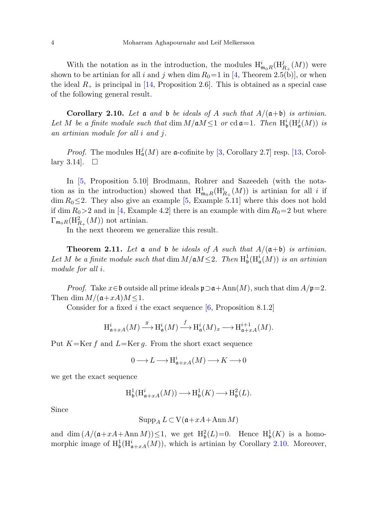<span id="page-3-0"></span>With the notation as in the introduction, the modules  $H^i_{\mathfrak{m}_0R}(H^j_{R_+}(M))$  were shown to be artinian for all i and j when dim  $R_0=1$  in [[4,](#page-8-2) Theorem 2.5(b)], or when the ideal  $R_{+}$  is principal in [\[14](#page-8-4), Proposition 2.6]. This is obtained as a special case of the following general result.

**Corollary 2.10.** Let  $\mathfrak a$  and  $\mathfrak b$  be ideals of A such that  $A/(\mathfrak a+\mathfrak b)$  is artinian. Let M be a finite module such that  $\dim M/\mathfrak{a} M \leq 1$  or  $\operatorname{cd} \mathfrak{a} = 1$ . Then  $\operatorname{H}^i_{\mathfrak{b}}(\operatorname{H}^j_{\mathfrak{a}}(M))$  is an artinian module for all i and j.

*Proof.* The modules  $H^j_\mathfrak{a}(M)$  are  $\mathfrak{a}$ -cofinite by [\[3](#page-8-12), Corollary 2.7] resp. [[13,](#page-8-6) Corollary 3.14].  $\Box$ 

In [\[5](#page-8-3), Proposition 5.10] Brodmann, Rohrer and Sazeedeh (with the notation as in the introduction) showed that  $H^1_{m_0R}(H^i_{R_+}(M))$  is artinian for all i if  $\dim R_0 \leq 2$ . They also give an example [[5,](#page-8-3) Example 5.11] where this does not hold if dim  $R_0>2$  and in [[4,](#page-8-2) Example 4.2] there is an example with dim  $R_0=2$  but where  $\Gamma_{\mathfrak{m}_0 R}(\mathrm{H}_{R_+}^2(M))$  not artinian.

In the next theorem we generalize this result.

**Theorem 2.11.** Let  $\mathfrak a$  and  $\mathfrak b$  be ideals of A such that  $A/(\mathfrak a+\mathfrak b)$  is artinian. Let M be a finite module such that  $\dim M/\mathfrak{a} M \leq 2$ . Then  $H^1_{\mathfrak{b}}(H^i_{\mathfrak{a}}(M))$  is an artinian module for all i.

*Proof.* Take  $x \in \mathfrak{b}$  outside all prime ideals  $\mathfrak{p} \supset \mathfrak{a} + \text{Ann}(M)$ , such that dim  $A/\mathfrak{p}=2$ . Then dim  $M/(\mathfrak{a}+xA)M \leq 1$ .

Consider for a fixed i the exact sequence  $[6,$  $[6,$  Proposition 8.1.2]

$$
\mathrm{H}^i_{\mathfrak{a}+xA}(M) \xrightarrow{g} \mathrm{H}^i_{\mathfrak{a}}(M) \xrightarrow{f} \mathrm{H}^i_{\mathfrak{a}}(M)_x \longrightarrow \mathrm{H}^{i+1}_{\mathfrak{a}+xA}(M).
$$

Put  $K=\text{Ker }f$  and  $L=\text{Ker }g$ . From the short exact sequence

$$
0 \longrightarrow L \longrightarrow \mathrm{H}^i_{\mathfrak{a}+xA}(M) \longrightarrow K \longrightarrow 0
$$

we get the exact sequence

$$
\mathrm{H}^1_{\mathfrak{b}}(\mathrm{H}^i_{\mathfrak{a}+xA}(M)) \longrightarrow \mathrm{H}^1_{\mathfrak{b}}(K) \longrightarrow \mathrm{H}^2_{\mathfrak{b}}(L).
$$

Since

$$
\operatorname{Supp}_A L \subset \operatorname{V}(\mathfrak{a}+xA + \operatorname{Ann} M)
$$

and dim  $(A/(\mathfrak{a}+xA+\mathrm{Ann}\,M))\leq 1$ , we get  $\mathrm{H}^2_{\mathfrak{b}}(L)=0$ . Hence  $\mathrm{H}^1_{\mathfrak{b}}(K)$  is a homomorphic image of  $\mathrm{H}^1_{\mathfrak{b}}(\mathrm{H}^i_{\mathfrak{a}+xA}(M))$ , which is artinian by Corollary [2.10.](#page-3-0) Moreover,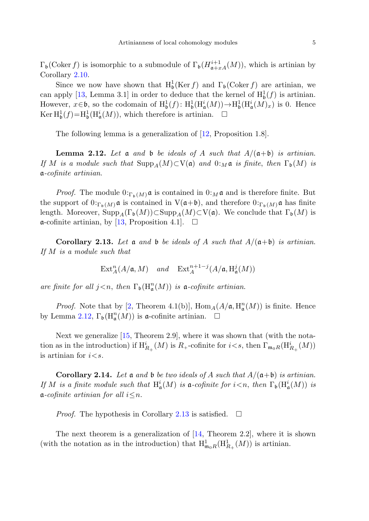$\Gamma_{\mathfrak{b}}(\text{Coker } f)$  is isomorphic to a submodule of  $\Gamma_{\mathfrak{b}}(H_{\mathfrak{a}+xA}^{i+1}(M))$ , which is artinian by Corollary [2.10](#page-3-0).

<span id="page-4-0"></span>Since we now have shown that  $H_b^1(Ker f)$  and  $\Gamma_b(Coker f)$  are artinian, we can apply [\[13](#page-8-6), Lemma 3.1] in order to deduce that the kernel of  $H_b^1(f)$  is artinian. However,  $x \in \mathfrak{b}$ , so the codomain of  $H^1_{\mathfrak{b}}(f)$ :  $H^1_{\mathfrak{b}}(H^i_{\mathfrak{a}}(M)) \to H^1_{\mathfrak{b}}(H^i_{\mathfrak{a}}(M)_x)$  is 0. Hence  $\text{Ker } H^1_{\mathfrak{b}}(f) = H^1_{\mathfrak{b}}(H^i_{\mathfrak{a}}(M)),$  which therefore is artinian.  $\Box$ 

The following lemma is a generalization of [[12,](#page-8-14) Proposition 1.8].

<span id="page-4-1"></span>**Lemma 2.12.** Let a and b be ideals of A such that  $A/(\mathfrak{a}+\mathfrak{b})$  is artinian. If M is a module such that  $\text{Supp}_A(M) \subset V(\mathfrak{a})$  and  $0: M \mathfrak{a}$  is finite, then  $\Gamma_{\mathfrak{b}}(M)$  is a-cofinite artinian.

*Proof.* The module  $0:_{\Gamma_b(M)} \mathfrak{a}$  is contained in  $0:_{M} \mathfrak{a}$  and is therefore finite. But the support of  $0:_{\Gamma_b(M)} \mathfrak{a}$  is contained in  $V(\mathfrak{a}+\mathfrak{b})$ , and therefore  $0:_{\Gamma_b(M)} \mathfrak{a}$  has finite length. Moreover,  $\text{Supp}_A(\Gamma_{\mathfrak{b}}(M)) \subset \text{Supp}_A(M) \subset V(\mathfrak{a})$ . We conclude that  $\Gamma_{\mathfrak{b}}(M)$  is  $\alpha$ -cofinite artinian, by [[13,](#page-8-6) Proposition 4.1].  $\Box$ 

**Corollary 2.13.** Let  $\mathfrak a$  and  $\mathfrak b$  be ideals of A such that  $A/(\mathfrak a+\mathfrak b)$  is artinian. If M is a module such that

$$
\operatorname{Ext}\nolimits_A^n(A/\mathfrak{a},M) \quad \text{and} \quad \operatorname{Ext}\nolimits_A^{n+1-j}(A/\mathfrak{a},\operatorname{H}\nolimits^j_{\mathfrak{a}}(M))
$$

are finite for all  $j < n$ , then  $\Gamma_{\mathfrak{b}}(\mathrm{H}_{\mathfrak{a}}^n(M))$  is  $\mathfrak{a}$ -cofinite artinian.

<span id="page-4-2"></span>*Proof.* Note that by [[2,](#page-8-15) Theorem 4.1(b)],  $\text{Hom}_A(A/\mathfrak{a}, \text{H}^n_{\mathfrak{a}}(M))$  is finite. Hence by Lemma [2.12,](#page-4-0)  $\Gamma_{\mathfrak{b}}(\mathrm{H}_{\mathfrak{a}}^n(M))$  is **a**-cofinite artinian.  $\Box$ 

Next we generalize [[15,](#page-8-5) Theorem 2.9], where it was shown that (with the notation as in the introduction) if  $\mathrm{H}^i_{R_+}(M)$  is  $R_+$ -cofinite for  $i < s$ , then  $\Gamma_{\mathfrak{m}_0R}(\mathrm{H}^i_{R_+}(M))$ is artinian for  $i < s$ .

**Corollary 2.14.** Let a and b be two ideals of A such that  $A/(\mathfrak{a}+\mathfrak{b})$  is artinian. If M is a finite module such that  $H^i_{\mathfrak{a}}(M)$  is  $\mathfrak{a}$ -cofinite for  $i < n$ , then  $\Gamma_{\mathfrak{b}}(H^i_{\mathfrak{a}}(M))$  is  $\mathfrak{a}$ -cofinite artinian for all  $i \leq n$ .

*Proof.* The hypothesis in Corollary [2.13](#page-4-1) is satisfied.  $\Box$ 

The next theorem is a generalization of  $[14,$  $[14,$  Theorem 2.2, where it is shown (with the notation as in the introduction) that  $H^1_{\mathfrak{m}_0R}(H^1_{R_+}(M))$  is artinian.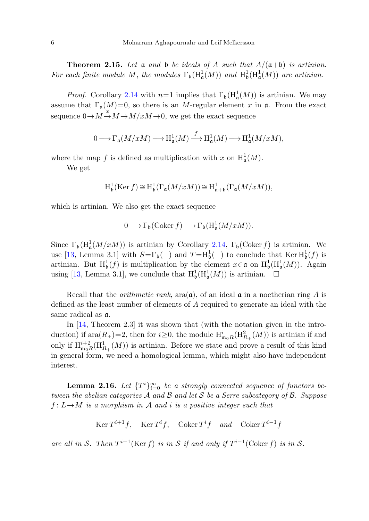**Theorem 2.15.** Let  $\mathfrak{a}$  and  $\mathfrak{b}$  be ideals of A such that  $A/(\mathfrak{a}+\mathfrak{b})$  is artinian. For each finite module M, the modules  $\Gamma_{\mathfrak{b}}(\text{H}^1_{\mathfrak{a}}(M))$  and  $\text{H}^1_{\mathfrak{b}}(\text{H}^1_{\mathfrak{a}}(M))$  are artinian.

*Proof.* Corollary [2.14](#page-4-2) with  $n=1$  implies that  $\Gamma_{\mathfrak{b}}(\mathrm{H}_{\mathfrak{a}}^1(M))$  is artinian. We may assume that  $\Gamma_a(M)=0$ , so there is an M-regular element x in a. From the exact sequence  $0 \rightarrow M \stackrel{x}{\rightarrow} M \rightarrow M/xM \rightarrow 0$ , we get the exact sequence

$$
0 \longrightarrow \Gamma_{\mathfrak{a}}(M/xM) \longrightarrow \mathrm{H}_{\mathfrak{a}}^{1}(M) \xrightarrow{f} \mathrm{H}_{\mathfrak{a}}^{1}(M) \longrightarrow \mathrm{H}_{\mathfrak{a}}^{1}(M/xM),
$$

where the map f is defined as multiplication with x on  $H^1_{\mathfrak{a}}(M)$ .

We get

$$
\mathrm{H}^1_{\mathfrak{b}}(\mathrm{Ker}\, f) \cong \mathrm{H}^1_{\mathfrak{b}}(\Gamma_{\mathfrak{a}}(M/xM)) \cong \mathrm{H}^1_{\mathfrak{a}+\mathfrak{b}}(\Gamma_{\mathfrak{a}}(M/xM)),
$$

which is artinian. We also get the exact sequence

$$
0 \longrightarrow \Gamma_{\mathfrak{b}}(\operatorname{Coker} f) \longrightarrow \Gamma_{\mathfrak{b}}(\mathrm{H}^1_{\mathfrak{a}}(M/xM)).
$$

Since  $\Gamma_{\mathfrak{b}}(\mathrm{H}^1_{\mathfrak{a}}(M/xM))$  is artinian by Corollary [2.14,](#page-4-2)  $\Gamma_{\mathfrak{b}}(\mathrm{Coker}\,f)$  is artinian. We use [\[13](#page-8-6), Lemma 3.1] with  $S=\Gamma_{\mathfrak{b}}(-)$  and  $T=\mathrm{H}^1_{\mathfrak{b}}(-)$  to conclude that  $\mathrm{Ker}\,\mathrm{H}^1_{\mathfrak{b}}(f)$  is artinian. But  $H^1_{\mathfrak{b}}(f)$  is multiplication by the element  $x \in \mathfrak{a}$  on  $H^1_{\mathfrak{b}}(H^1_{\mathfrak{a}}(M))$ . Again using [\[13](#page-8-6), Lemma 3.1], we conclude that  $\mathrm{H}^1_{\mathfrak{b}}(\mathrm{H}^1_{\mathfrak{a}}(M))$  is artinian.  $\Box$ 

Recall that the *arithmetic rank*,  $ara(\mathfrak{a})$ , of an ideal  $\mathfrak{a}$  in a noetherian ring A is defined as the least number of elements of A required to generate an ideal with the same radical as a.

<span id="page-5-0"></span>In [[14,](#page-8-4) Theorem 2.3] it was shown that (with the notation given in the introduction) if  $\text{ara}(R_+) = 2$ , then for  $i \geq 0$ , the module  $\text{H}^i_{\mathfrak{m}_0R}(\text{H}^2_{R_+}(M))$  is artinian if and only if  $\mathrm{H}^{i+2}_{\mathfrak{m}_0R}(\mathrm{H}^1_{R_+}(M))$  is artinian. Before we state and prove a result of this kind in general form, we need a homological lemma, which might also have independent interest.

**Lemma 2.16.** Let  $\{T^i\}_{i=0}^{\infty}$  be a strongly connected sequence of functors between the abelian categories  $A$  and  $B$  and let  $S$  be a Serre subcategory of  $B$ . Suppose  $f: L \rightarrow M$  is a morphism in A and i is a positive integer such that

Ker  $T^{i+1}f$ , Ker  $T^if$ , Coker  $T^if$  and Coker  $T^{i-1}f$ 

are all in S. Then  $T^{i+1}$ (Ker f) is in S if and only if  $T^{i-1}$ (Coker f) is in S.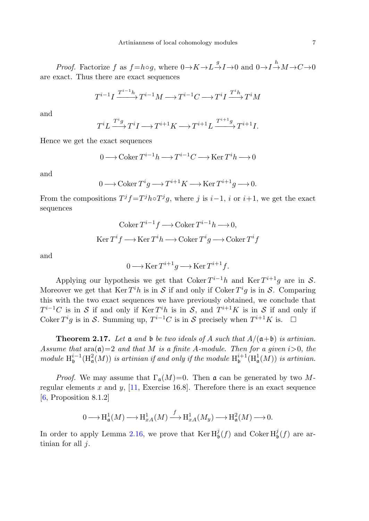*Proof.* Factorize f as  $f = h \circ g$ , where  $0 \to K \to L \to I \to 0$  and  $0 \to I \to M \to C \to 0$ are exact. Thus there are exact sequences

$$
T^{i-1}I\xrightarrow{T^{i-1}h}T^{i-1}M\longrightarrow T^{i-1}C\longrightarrow T^{i}I\xrightarrow{T^{i}h}T^{i}M
$$

and

$$
T^i L \xrightarrow{T^i g} T^i I \longrightarrow T^{i+1} K \longrightarrow T^{i+1} L \xrightarrow{T^{i+1} g} T^{i+1} I.
$$

Hence we get the exact sequences

$$
0 \longrightarrow \operatorname{Coker} T^{i-1}h \longrightarrow T^{i-1}C \longrightarrow \operatorname{Ker} T^i h \longrightarrow 0
$$

and

$$
0 \longrightarrow \operatorname{Coker} T^i g \longrightarrow T^{i+1} K \longrightarrow \operatorname{Ker} T^{i+1} g \longrightarrow 0.
$$

From the compositions  $T^j f = T^j h \circ T^j g$ , where j is i–1, i or i+1, we get the exact sequences

$$
\text{Coker } T^{i-1}f \longrightarrow \text{Coker } T^{i-1}h \longrightarrow 0,
$$
  
 
$$
\text{Ker } T^if \longrightarrow \text{Ker } T^ih \longrightarrow \text{Coker } T^ig \longrightarrow \text{Coker } T^if
$$

and

$$
0 \longrightarrow \operatorname{Ker} T^{i+1}g \longrightarrow \operatorname{Ker} T^{i+1}f.
$$

Applying our hypothesis we get that Coker  $T^{i-1}h$  and Ker  $T^{i+1}g$  are in S. Moreover we get that  $\text{Ker } T^i h$  is in S if and only if Coker  $T^i g$  is in S. Comparing this with the two exact sequences we have previously obtained, we conclude that  $T^{i-1}C$  is in S if and only if Ker  $T^{i}h$  is in S, and  $T^{i+1}K$  is in S if and only if Coker  $T^i g$  is in S. Summing up,  $T^{i-1}C$  is in S precisely when  $T^{i+1}K$  is.  $\Box$ 

**Theorem 2.17.** Let  $\mathfrak a$  and  $\mathfrak b$  be two ideals of A such that  $A/(\mathfrak a+\mathfrak b)$  is artinian. Assume that  $\text{ara}(\mathfrak{a})=2$  and that M is a finite A-module. Then for a given  $i>0$ , the module  $\text{H}_{\mathfrak{b}}^{i-1}(\text{H}_{\mathfrak{a}}^2(M))$  is artinian if and only if the module  $\text{H}_{\mathfrak{b}}^{i+1}(\text{H}_{\mathfrak{a}}^1(M))$  is artinian.

*Proof.* We may assume that  $\Gamma_{\mathfrak{a}}(M)=0$ . Then  $\mathfrak{a}$  can be generated by two Mregular elements x and y,  $[11, \text{ Exercise } 16.8]$  $[11, \text{ Exercise } 16.8]$ . Therefore there is an exact sequence [\[6](#page-8-13), Proposition 8.1.2]

$$
0 \longrightarrow \mathrm{H}^1_{\mathfrak{a}}(M) \longrightarrow \mathrm{H}^1_{xA}(M) \stackrel{f}{\longrightarrow} \mathrm{H}^1_{xA}(M_y) \longrightarrow \mathrm{H}^2_{\mathfrak{a}}(M) \longrightarrow 0.
$$

In order to apply Lemma [2.16,](#page-5-0) we prove that  $\text{Ker H}^j_{\mathfrak{b}}(f)$  and  $\text{Coker H}^j_{\mathfrak{b}}(f)$  are artinian for all  $j$ .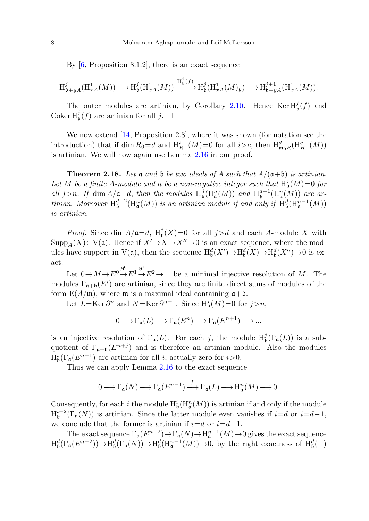By  $[6,$  $[6,$  Proposition 8.1.2], there is an exact sequence

$$
\text{H}^j_{\mathfrak{b}+yA}(\text{H}^1_{xA}(M)) \longrightarrow \text{H}^j_{\mathfrak{b}}(\text{H}^1_{xA}(M)) \xrightarrow{\text{H}^j_{\mathfrak{b}}(f)} \text{H}^j_{\mathfrak{b}}(\text{H}^1_{xA}(M)_y) \longrightarrow \text{H}^{j+1}_{\mathfrak{b}+yA}(\text{H}^1_{xA}(M)).
$$

The outer modules are artinian, by Corollary [2.10.](#page-3-0) Hence  $\text{Ker } H^j_{\mathfrak{b}}(f)$  and Coker  $H_b^j(f)$  are artinian for all j.  $\Box$ 

We now extend [[14,](#page-8-4) Proposition 2.8], where it was shown (for notation see the introduction) that if dim  $R_0 = d$  and  $H_{R_+}^i(M) = 0$  for all  $i > c$ , then  $H_{m_0R}^d(H_{R_+}^c(M))$ is artinian. We will now again use Lemma [2.16](#page-5-0) in our proof.

**Theorem 2.18.** Let  $\mathfrak a$  and  $\mathfrak b$  be two ideals of A such that  $A/(\mathfrak a+\mathfrak b)$  is artinian. Let M be a finite A-module and n be a non-negative integer such that  $H^j_\mathfrak{a}(M)=0$  for all j>n. If dim  $A/\mathfrak{a} = d$ , then the modules  $H^d_{\mathfrak{b}}(H^n_{\mathfrak{a}}(M))$  and  $H^{d-1}_{\mathfrak{b}}(H^n_{\mathfrak{a}}(M))$  are artinian. Moreover  $H^{d-2}_\mathfrak{b}(H^n_\mathfrak{a}(M))$  is an artinian module if and only if  $H^d_\mathfrak{b}(H^{n-1}_\mathfrak{a}(M))$ is artinian.

*Proof.* Since  $\dim A/\mathfrak{a} = d$ ,  $H^j_{\mathfrak{b}}(X) = 0$  for all  $j > d$  and each A-module X with  $\mathrm{Supp}_A(X) \subset V(\mathfrak{a})$ . Hence if  $X' \to X \to X'' \to 0$  is an exact sequence, where the modules have support in  $V(\mathfrak{a})$ , then the sequence  $H^d_{\mathfrak{b}}(X') \to H^d_{\mathfrak{b}}(X) \to H^d_{\mathfrak{b}}(X'') \to 0$  is exact.

Let  $0 \to M \to E^0 \to^0 \to E^1 \to^0 E^2 \to \dots$  be a minimal injective resolution of M. The modules  $\Gamma_{\mathfrak{a}+\mathfrak{b}}(E^i)$  are artinian, since they are finite direct sums of modules of the form  $E(A/\mathfrak{m})$ , where  $\mathfrak{m}$  is a maximal ideal containing  $\mathfrak{a}+\mathfrak{b}$ .

Let  $L = \text{Ker } \partial^n$  and  $N = \text{Ker } \partial^{n-1}$ . Since  $H^j_\mathfrak{a}(M) = 0$  for  $j > n$ ,

$$
0 \longrightarrow \Gamma_{\mathfrak{a}}(L) \longrightarrow \Gamma_{\mathfrak{a}}(E^n) \longrightarrow \Gamma_{\mathfrak{a}}(E^{n+1}) \longrightarrow \dots
$$

is an injective resolution of  $\Gamma_{\mathfrak{a}}(L)$ . For each j, the module  $H^j_{\mathfrak{b}}(\Gamma_{\mathfrak{a}}(L))$  is a subquotient of  $\Gamma_{\mathfrak{a}+\mathfrak{b}}(E^{n+j})$  and is therefore an artinian module. Also the modules  $H^i_{\mathfrak{b}}(\Gamma_{\mathfrak{a}}(E^{n-1})$  are artinian for all *i*, actually zero for *i*>0.

Thus we can apply Lemma [2.16](#page-5-0) to the exact sequence

$$
0 \longrightarrow \Gamma_{\mathfrak{a}}(N) \longrightarrow \Gamma_{\mathfrak{a}}(E^{n-1}) \xrightarrow{f} \Gamma_{\mathfrak{a}}(L) \longrightarrow \mathrm{H}_{\mathfrak{a}}^n(M) \longrightarrow 0.
$$

Consequently, for each i the module  $H^i_{\mathfrak{b}}(H^n_{\mathfrak{a}}(M))$  is artinian if and only if the module  $\mathrm{H}^{i+2}_\mathfrak{b}(\Gamma_\mathfrak{a}(N))$  is artinian. Since the latter module even vanishes if  $i=d$  or  $i=d-1$ , we conclude that the former is artinian if  $i=d$  or  $i=d-1$ .

The exact sequence  $\Gamma_{\mathfrak{a}}(E^{n-2}) \to \Gamma_{\mathfrak{a}}(N) \to \text{H}^{n-1}_{\mathfrak{a}}(M) \to 0$  gives the exact sequence  $\mathrm{H}^d_{\mathfrak{b}}(\Gamma_{\mathfrak{a}}(E^{n-2})) \to \mathrm{H}^d_{\mathfrak{b}}(\Gamma_{\mathfrak{a}}(N)) \to \mathrm{H}^d_{\mathfrak{b}}(\mathrm{H}^{n-1}_{\mathfrak{a}}(M)) \to 0$ , by the right exactness of  $\mathrm{H}^d_{\mathfrak{b}}(-)$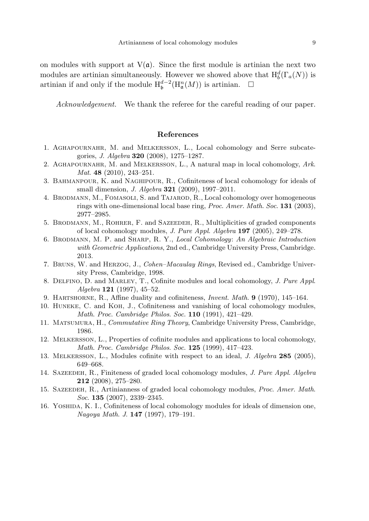<span id="page-8-15"></span><span id="page-8-10"></span>on modules with support at  $V(\mathfrak{a})$ . Since the first module is artinian the next two modules are artinian simultaneously. However we showed above that  $H_b^d(\Gamma_a(N))$  is artinian if and only if the module  $\mathrm{H}^{d-2}_{\mathfrak{b}}(\mathrm{H}^n_{\mathfrak{a}}(M))$  is artinian.  $□$ 

Acknowledgement. We thank the referee for the careful reading of our paper.

## **References**

- <span id="page-8-12"></span><span id="page-8-3"></span><span id="page-8-2"></span>1. Aghapournahr, M. and Melkersson, L., Local cohomology and Serre subcategories, J. Algebra **320** (2008), 1275–1287.
- <span id="page-8-13"></span>2. Aghapournahr, M. and Melkersson, L., A natural map in local cohomology, Ark. Mat. **48** (2010), 243–251.
- 3. Bahmanpour, K. and Naghipour, R., Cofiniteness of local cohomology for ideals of small dimension, J. Algebra **321** (2009), 1997–2011.
- <span id="page-8-0"></span>4. Brodmann, M., Fomasoli, S. and Tajarod, R., Local cohomology over homogeneous rings with one-dimensional local base ring, Proc. Amer. Math. Soc. **131** (2003), 2977–2985.
- <span id="page-8-9"></span><span id="page-8-7"></span>5. Brodmann, M., Rohrer, F. and Sazeedeh, R., Multiplicities of graded components of local cohomology modules, J. Pure Appl. Algebra **197** (2005), 249–278.
- <span id="page-8-8"></span>6. Brodmann, M. P. and Sharp, R. Y., Local Cohomology: An Algebraic Introduction with Geometric Applications, 2nd ed., Cambridge University Press, Cambridge. 2013.
- <span id="page-8-14"></span><span id="page-8-1"></span>7. Bruns, W. and Herzog, J., Cohen–Macaulay Rings, Revised ed., Cambridge University Press, Cambridge, 1998.
- 8. Delfino, D. and Marley, T., Cofinite modules and local cohomology, J. Pure Appl. Algebra **121** (1997), 45–52.
- <span id="page-8-6"></span>9. Hartshorne, R., Affine duality and cofiniteness, Invent. Math. **9** (1970), 145–164.
- <span id="page-8-4"></span>10. Huneke, C. and Koh, J., Cofiniteness and vanishing of local cohomology modules, Math. Proc. Cambridge Philos. Soc. **110** (1991), 421–429.
- <span id="page-8-5"></span>11. Matsumura, H., Commutative Ring Theory, Cambridge University Press, Cambridge, 1986.
- <span id="page-8-11"></span>12. Melkersson, L., Properties of cofinite modules and applications to local cohomology, Math. Proc. Cambridge Philos. Soc. **125** (1999), 417–423.
- 13. Melkersson, L., Modules cofinite with respect to an ideal, J. Algebra **285** (2005), 649–668.
- 14. Sazeedeh, R., Finiteness of graded local cohomology modules, J. Pure Appl. Algebra **212** (2008), 275–280.
- 15. Sazeedeh, R., Artinianness of graded local cohomology modules, Proc. Amer. Math. Soc. **135** (2007), 2339–2345.
- 16. Yoshida, K. I., Cofiniteness of local cohomology modules for ideals of dimension one, Nagoya Math. J. **147** (1997), 179–191.